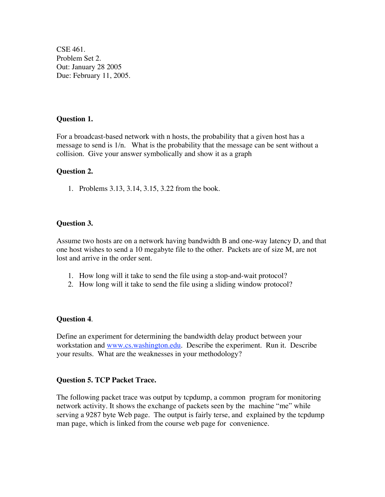CSE 461. Problem Set 2. Out: January 28 2005 Due: February 11, 2005.

## **Question 1.**

For a broadcast-based network with n hosts, the probability that a given host has a message to send is 1/n. What is the probability that the message can be sent without a collision. Give your answer symbolically and show it as a graph

## **Question 2.**

1. Problems 3.13, 3.14, 3.15, 3.22 from the book.

## **Question 3.**

Assume two hosts are on a network having bandwidth B and one-way latency D, and that one host wishes to send a 10 megabyte file to the other. Packets are of size M, are not lost and arrive in the order sent.

- 1. How long will it take to send the file using a stop-and-wait protocol?
- 2. How long will it take to send the file using a sliding window protocol?

#### **Question 4**.

Define an experiment for determining the bandwidth delay product between your workstation and www.cs.washington.edu. Describe the experiment. Run it. Describe your results. What are the weaknesses in your methodology?

## **Question 5. TCP Packet Trace.**

The following packet trace was output by tcpdump, a common program for monitoring network activity. It shows the exchange of packets seen by the machine "me" while serving a 9287 byte Web page. The output is fairly terse, and explained by the tcpdump man page, which is linked from the course web page for convenience.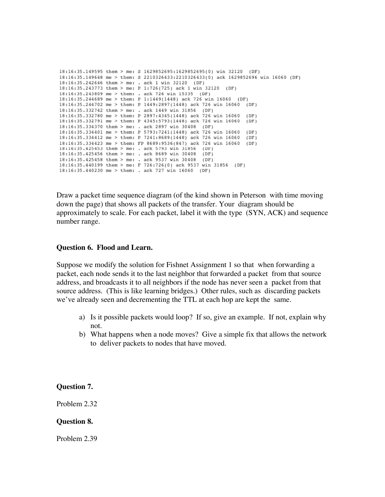```
18:16:35.149595 them > me: S 1629852695:1629852695(0) win 32120 (DF)
18:16:35.149648 me > them: S 2210326433:2210326433(0) ack 1629852696 win 16060 (DF)
18:16:35.242646 them > me: . ack 1 win 32120 (DF)
18:16:35.243773 them > me: P 1:726(725) ack 1 win 32120 (DF)
18:16:35.243809 me > them: . ack 726 win 15335 (DF)
18:16:35.244689 me > them: P 1:1449(1448) ack 726 win 16060 (DF)
18:16:35.244702 me > them: P 1449:2897(1448) ack 726 win 16060 (DF)
18:16:35.332742 them > me: . ack 1449 win 31856 (DF)
18:16:35.332780 me > them: P 2897:4345(1448) ack 726 win 16060
                                                               (DF)18:16:35.332791 me > them: P 4345:5793(1448) ack 726 win 16060 (DF)
18:16:35.334370 them > me: . ack 2897 win 30408 (DF)
18:16:35.334401 me > them: P 5793:7241(1448) ack 726 win 16060 (DF)
18:16:35.334412 me > them: P 7241:8689(1448) ack 726 win 16060 (DF)
18:16:35.334423 me > them: FP 8689:9536(847) ack 726 win 16060 (DF)
18:16:35.425453 them > me: . ack 5793 win 31856 (DF)
18:16:35.425456 them > me: . ack 8689 win 30408 (DF)
18:16:35.425458 them > me: . ack 9537 win 30408 (DF)
18:16:35.440199 them > me: F 726:726(0) ack 9537 win 31856 (DF)
18:16:35.440230 me > them: . ack 727 win 16060 (DF)
```
Draw a packet time sequence diagram (of the kind shown in Peterson with time moving down the page) that shows all packets of the transfer. Your diagram should be approximately to scale. For each packet, label it with the type (SYN, ACK) and sequence number range.

#### **Question 6. Flood and Learn.**

Suppose we modify the solution for Fishnet Assignment 1 so that when forwarding a packet, each node sends it to the last neighbor that forwarded a packet from that source address, and broadcasts it to all neighbors if the node has never seen a packet from that source address. (This is like learning bridges.) Other rules, such as discarding packets we've already seen and decrementing the TTL at each hop are kept the same.

- a) Is it possible packets would loop? If so, give an example. If not, explain why not.
- b) What happens when a node moves? Give a simple fix that allows the network to deliver packets to nodes that have moved.

**Question 7.**

Problem 2.32

## **Question 8.**

Problem 2.39